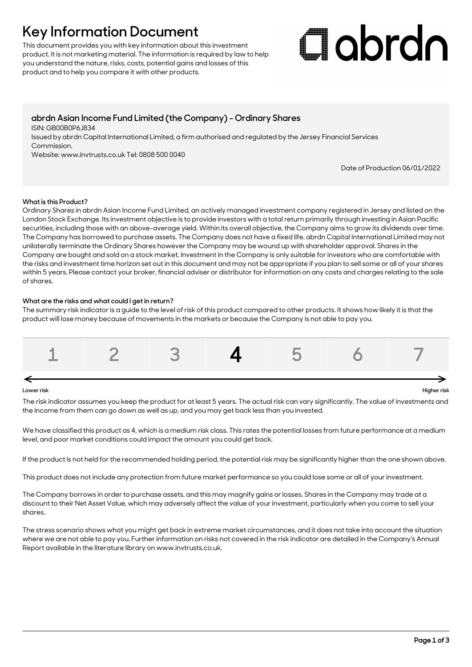## **Key Information Document**

This document provides you with key information about this investment product. It is not marketing material. The information is required by law to help you understand the nature, risks, costs, potential gains and losses of this product and to help you compare it with other products.

# Clobrdo

### **abrdn Asian Income Fund Limited (the Company) - Ordinary Shares**

ISIN: GB00B0P6J834

Issued by abrdn Capital International Limited, a firm authorised and regulated by the Jersey Financial Services Commission.

Website: www.invtrusts.co.uk Tel: 0808 500 0040

Date of Production 06/01/2022

#### **What is this Product?**

Ordinary Shares in abrdn Asian Income Fund Limited, an actively managed investment company registered in Jersey and listed on the London Stock Exchange. Its investment objective is to provide investors with a total return primarily through investing in Asian Pacific securities, including those with an above-average yield. Within its overall objective, the Company aims to grow its dividends over time. The Company has borrowed to purchase assets. The Company does not have a fixed life. abrdn Capital International Limited may not unilaterally terminate the Ordinary Shares however the Company may be wound up with shareholder approval. Shares in the Company are bought and sold on a stock market. Investment in the Company is only suitable for investors who are comfortable with the risks and investment time horizon set out in this document and may not be appropriate if you plan to sell some or all of your shares within 5 years. Please contact your broker, financial adviser or distributor for information on any costs and charges relating to the sale of shares.

#### **What are the risks and what could I get in return?**

The summary risk indicator is a guide to the level of risk of this product compared to other products. It shows how likely it is that the product will lose money because of movements in the markets or because the Company is not able to pay you.



The risk indicator assumes you keep the product for at least 5 years. The actual risk can vary significantly. The value of investments and the income from them can go down as well as up, and you may get back less than you invested.

We have classified this product as 4, which is a medium risk class. This rates the potential losses from future performance at a medium level, and poor market conditions could impact the amount you could get back.

If the product is not held for the recommended holding period, the potential risk may be significantly higher than the one shown above.

This product does not include any protection from future market performance so you could lose some or all of your investment.

The Company borrows in order to purchase assets, and this may magnify gains or losses. Shares in the Company may trade at a discount to their Net Asset Value, which may adversely affect the value of your investment, particularly when you come to sell your shares.

The stress scenario shows what you might get back in extreme market circumstances, and it does not take into account the situation where we are not able to pay you. Further information on risks not covered in the risk indicator are detailed in the Company's Annual Report available in the literature library on www.invtrusts.co.uk.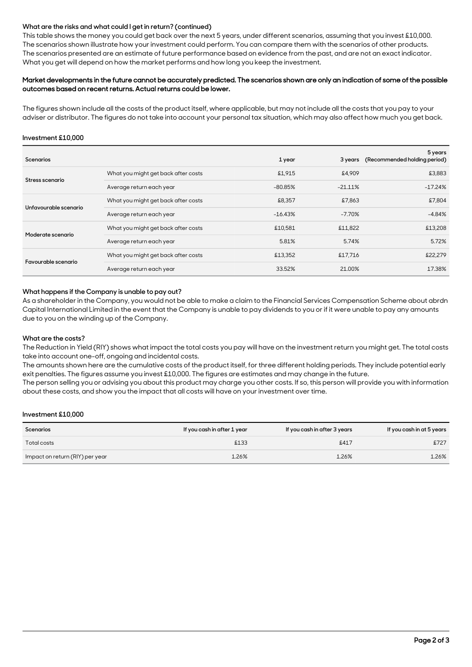#### **What are the risks and what could I get in return? (continued)**

This table shows the money you could get back over the next 5 years, under different scenarios, assuming that you invest £10,000. The scenarios shown illustrate how your investment could perform. You can compare them with the scenarios of other products. The scenarios presented are an estimate of future performance based on evidence from the past, and are not an exact indicator. What you get will depend on how the market performs and how long you keep the investment.

#### Market developments in the future cannot be accurately predicted. The scenarios shown are only an indication of some of the possible outcomes based on recent returns. Actual returns could be lower.

The figures shown include all the costs of the product itself, where applicable, but may not include all the costs that you pay to your adviser or distributor. The figures do not take into account your personal tax situation, which may also affect how much you get back.

#### **Investment £10,000**

| <b>Scenarios</b>      |                                     | 1 year    | 3 years    | 5 years<br>(Recommended holding period) |
|-----------------------|-------------------------------------|-----------|------------|-----------------------------------------|
| Stress scenario       | What you might get back after costs | £1,915    | £4.909     | £3,883                                  |
|                       | Average return each year            | $-80.85%$ | $-21.11\%$ | $-17.24%$                               |
| Unfavourable scenario | What you might get back after costs | £8,357    | £7.863     | £7,804                                  |
|                       | Average return each year            | $-16.43%$ | $-7.70\%$  | $-4.84%$                                |
| Moderate scenario     | What you might get back after costs | £10,581   | £11,822    | £13,208                                 |
|                       | Average return each year            | 5.81%     | 5.74%      | 5.72%                                   |
| Favourable scenario   | What you might get back after costs | £13,352   | £17,716    | £22,279                                 |
|                       | Average return each year            | 33.52%    | 21.00%     | 17.38%                                  |

#### **What happens if the Company is unable to pay out?**

As a shareholder in the Company, you would not be able to make a claim to the Financial Services Compensation Scheme about abrdn Capital International Limited in the event that the Company is unable to pay dividends to you or if it were unable to pay any amounts due to you on the winding up of the Company.

#### **What are the costs?**

The Reduction in Yield (RIY) shows what impact the total costs you pay will have on the investment return you might get. The total costs take into account one-off, ongoing and incidental costs.

The amounts shown here are the cumulative costs of the product itself, for three different holding periods. They include potential early exit penalties. The figures assume you invest £10,000. The figures are estimates and may change in the future.

The person selling you or advising you about this product may charge you other costs. If so, this person will provide you with information about these costs, and show you the impact that all costs will have on your investment over time.

#### **Investment £10,000**

| <b>Scenarios</b>                | If you cash in after 1 year | If you cash in after 3 years | If you cash in at 5 years |
|---------------------------------|-----------------------------|------------------------------|---------------------------|
| Total costs                     | £133                        | £417                         | £727                      |
| Impact on return (RIY) per year | 1.26%                       | 1.26%                        | 1.26%                     |